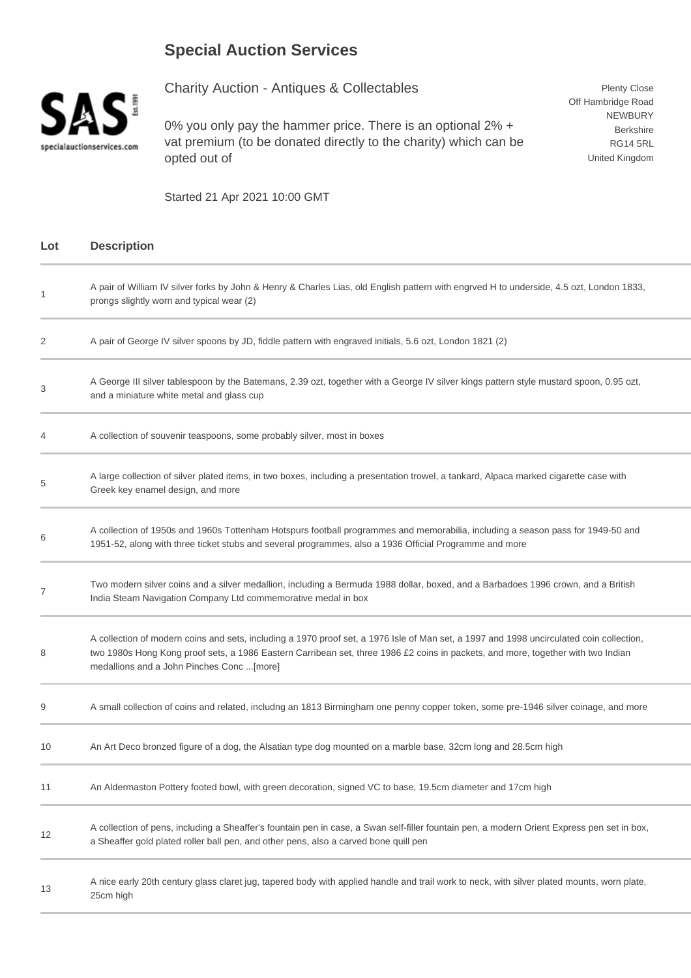## **Special Auction Services**



Charity Auction - Antiques & Collectables

0% you only pay the hammer price. There is an optional 2% + vat premium (to be donated directly to the charity) which can be opted out of

Plenty Close Off Hambridge Road NEWBURY Berkshire RG14 5RL United Kingdom

Started 21 Apr 2021 10:00 GMT

| Lot | <b>Description</b>                                                                                                                                                                                                                                                                                                        |
|-----|---------------------------------------------------------------------------------------------------------------------------------------------------------------------------------------------------------------------------------------------------------------------------------------------------------------------------|
| 1   | A pair of William IV silver forks by John & Henry & Charles Lias, old English pattern with engrved H to underside, 4.5 ozt, London 1833,<br>prongs slightly worn and typical wear (2)                                                                                                                                     |
| 2   | A pair of George IV silver spoons by JD, fiddle pattern with engraved initials, 5.6 ozt, London 1821 (2)                                                                                                                                                                                                                  |
| 3   | A George III silver tablespoon by the Batemans, 2.39 ozt, together with a George IV silver kings pattern style mustard spoon, 0.95 ozt,<br>and a miniature white metal and glass cup                                                                                                                                      |
| 4   | A collection of souvenir teaspoons, some probably silver, most in boxes                                                                                                                                                                                                                                                   |
| 5   | A large collection of silver plated items, in two boxes, including a presentation trowel, a tankard, Alpaca marked cigarette case with<br>Greek key enamel design, and more                                                                                                                                               |
| 6   | A collection of 1950s and 1960s Tottenham Hotspurs football programmes and memorabilia, including a season pass for 1949-50 and<br>1951-52, along with three ticket stubs and several programmes, also a 1936 Official Programme and more                                                                                 |
| 7   | Two modern silver coins and a silver medallion, including a Bermuda 1988 dollar, boxed, and a Barbadoes 1996 crown, and a British<br>India Steam Navigation Company Ltd commemorative medal in box                                                                                                                        |
| 8   | A collection of modern coins and sets, including a 1970 proof set, a 1976 Isle of Man set, a 1997 and 1998 uncirculated coin collection,<br>two 1980s Hong Kong proof sets, a 1986 Eastern Carribean set, three 1986 £2 coins in packets, and more, together with two Indian<br>medallions and a John Pinches Conc [more] |
| 9   | A small collection of coins and related, includng an 1813 Birmingham one penny copper token, some pre-1946 silver coinage, and more                                                                                                                                                                                       |
| 10  | An Art Deco bronzed figure of a dog, the Alsatian type dog mounted on a marble base, 32cm long and 28.5cm high                                                                                                                                                                                                            |
| 11  | An Aldermaston Pottery footed bowl, with green decoration, signed VC to base, 19.5cm diameter and 17cm high                                                                                                                                                                                                               |
| 12  | A collection of pens, including a Sheaffer's fountain pen in case, a Swan self-filler fountain pen, a modern Orient Express pen set in box,<br>a Sheaffer gold plated roller ball pen, and other pens, also a carved bone quill pen                                                                                       |
| 13  | A nice early 20th century glass claret jug, tapered body with applied handle and trail work to neck, with silver plated mounts, worn plate,<br>25cm high                                                                                                                                                                  |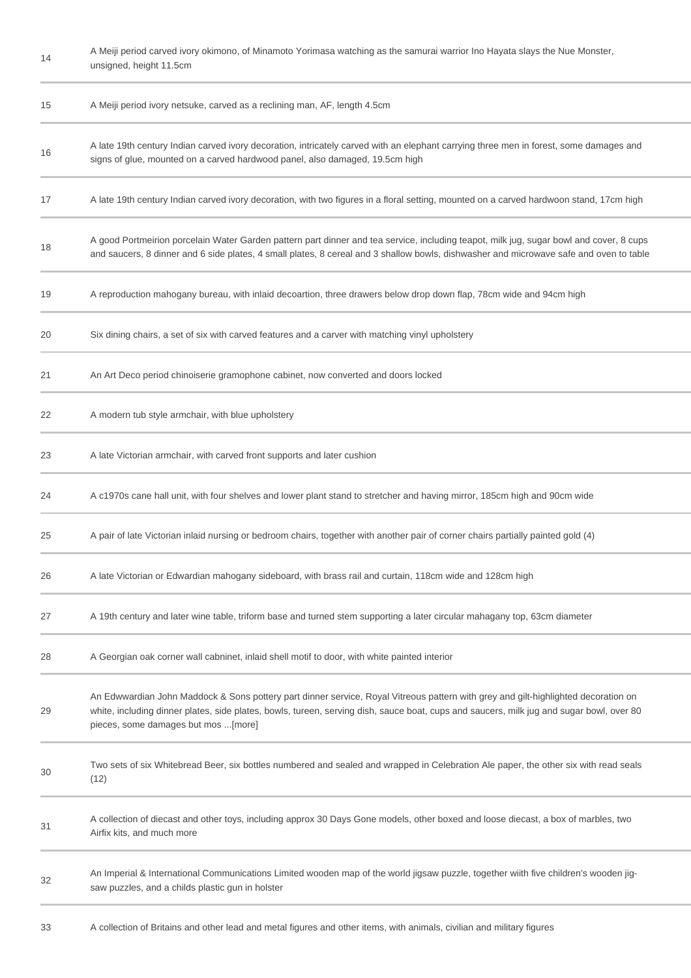| 14 | A Meiji period carved ivory okimono, of Minamoto Yorimasa watching as the samurai warrior Ino Hayata slays the Nue Monster,<br>unsigned, height 11.5cm                                                                                                                                                                |
|----|-----------------------------------------------------------------------------------------------------------------------------------------------------------------------------------------------------------------------------------------------------------------------------------------------------------------------|
| 15 | A Meiji period ivory netsuke, carved as a reclining man, AF, length 4.5cm                                                                                                                                                                                                                                             |
| 16 | A late 19th century Indian carved ivory decoration, intricately carved with an elephant carrying three men in forest, some damages and<br>signs of glue, mounted on a carved hardwood panel, also damaged, 19.5cm high                                                                                                |
| 17 | A late 19th century Indian carved ivory decoration, with two figures in a floral setting, mounted on a carved hardwoon stand, 17cm high                                                                                                                                                                               |
| 18 | A good Portmeirion porcelain Water Garden pattern part dinner and tea service, including teapot, milk jug, sugar bowl and cover, 8 cups<br>and saucers, 8 dinner and 6 side plates, 4 small plates, 8 cereal and 3 shallow bowls, dishwasher and microwave safe and oven to table                                     |
| 19 | A reproduction mahogany bureau, with inlaid decoartion, three drawers below drop down flap, 78cm wide and 94cm high                                                                                                                                                                                                   |
| 20 | Six dining chairs, a set of six with carved features and a carver with matching vinyl upholstery                                                                                                                                                                                                                      |
| 21 | An Art Deco period chinoiserie gramophone cabinet, now converted and doors locked                                                                                                                                                                                                                                     |
| 22 | A modern tub style armchair, with blue upholstery                                                                                                                                                                                                                                                                     |
| 23 | A late Victorian armchair, with carved front supports and later cushion                                                                                                                                                                                                                                               |
| 24 | A c1970s cane hall unit, with four shelves and lower plant stand to stretcher and having mirror, 185cm high and 90cm wide                                                                                                                                                                                             |
| 25 | A pair of late Victorian inlaid nursing or bedroom chairs, together with another pair of corner chairs partially painted gold (4)                                                                                                                                                                                     |
| 26 | A late Victorian or Edwardian mahogany sideboard, with brass rail and curtain, 118cm wide and 128cm high                                                                                                                                                                                                              |
| 27 | A 19th century and later wine table, triform base and turned stem supporting a later circular mahagany top, 63cm diameter                                                                                                                                                                                             |
| 28 | A Georgian oak corner wall cabninet, inlaid shell motif to door, with white painted interior                                                                                                                                                                                                                          |
| 29 | An Edwwardian John Maddock & Sons pottery part dinner service, Royal Vitreous pattern with grey and gilt-highlighted decoration on<br>white, including dinner plates, side plates, bowls, tureen, serving dish, sauce boat, cups and saucers, milk jug and sugar bowl, over 80<br>pieces, some damages but mos [more] |
| 30 | Two sets of six Whitebread Beer, six bottles numbered and sealed and wrapped in Celebration Ale paper, the other six with read seals<br>(12)                                                                                                                                                                          |
| 31 | A collection of diecast and other toys, including approx 30 Days Gone models, other boxed and loose diecast, a box of marbles, two<br>Airfix kits, and much more                                                                                                                                                      |
| 32 | An Imperial & International Communications Limited wooden map of the world jigsaw puzzle, together wiith five children's wooden jig-<br>saw puzzles, and a childs plastic gun in holster                                                                                                                              |
|    |                                                                                                                                                                                                                                                                                                                       |

33 A collection of Britains and other lead and metal figures and other items, with animals, civilian and military figures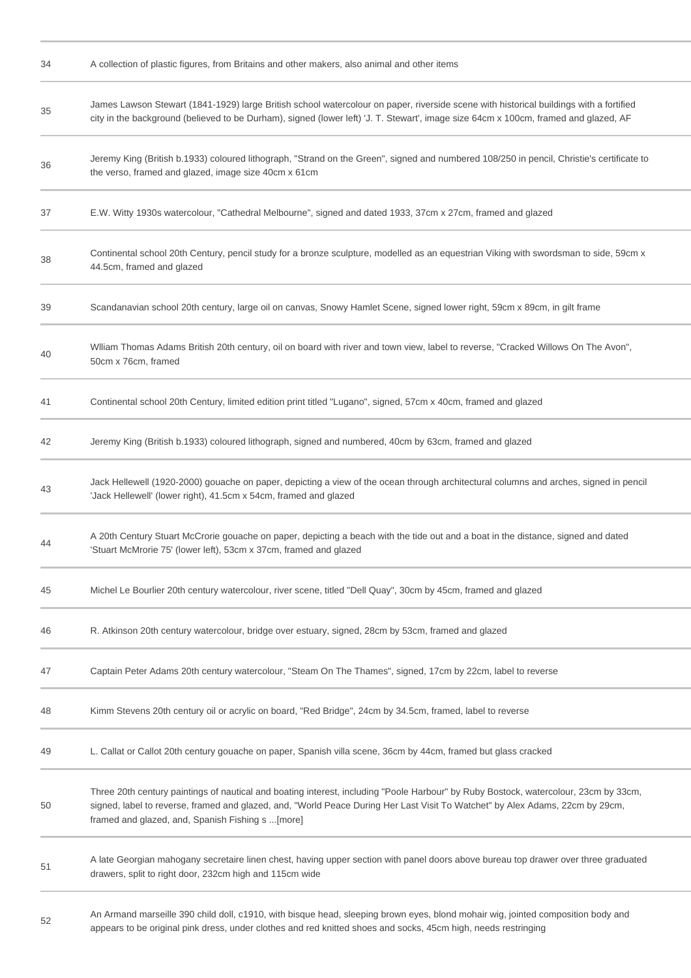| 34 | A collection of plastic figures, from Britains and other makers, also animal and other items                                                                                                                                                                                                                               |
|----|----------------------------------------------------------------------------------------------------------------------------------------------------------------------------------------------------------------------------------------------------------------------------------------------------------------------------|
| 35 | James Lawson Stewart (1841-1929) large British school watercolour on paper, riverside scene with historical buildings with a fortified<br>city in the background (believed to be Durham), signed (lower left) 'J. T. Stewart', image size 64cm x 100cm, framed and glazed, AF                                              |
| 36 | Jeremy King (British b.1933) coloured lithograph, "Strand on the Green", signed and numbered 108/250 in pencil, Christie's certificate to<br>the verso, framed and glazed, image size 40cm x 61cm                                                                                                                          |
| 37 | E.W. Witty 1930s watercolour, "Cathedral Melbourne", signed and dated 1933, 37cm x 27cm, framed and glazed                                                                                                                                                                                                                 |
| 38 | Continental school 20th Century, pencil study for a bronze sculpture, modelled as an equestrian Viking with swordsman to side, 59cm x<br>44.5cm, framed and glazed                                                                                                                                                         |
| 39 | Scandanavian school 20th century, large oil on canvas, Snowy Hamlet Scene, signed lower right, 59cm x 89cm, in gilt frame                                                                                                                                                                                                  |
| 40 | Wiliam Thomas Adams British 20th century, oil on board with river and town view, label to reverse, "Cracked Willows On The Avon",<br>50cm x 76cm, framed                                                                                                                                                                   |
| 41 | Continental school 20th Century, limited edition print titled "Lugano", signed, 57cm x 40cm, framed and glazed                                                                                                                                                                                                             |
| 42 | Jeremy King (British b.1933) coloured lithograph, signed and numbered, 40cm by 63cm, framed and glazed                                                                                                                                                                                                                     |
| 43 | Jack Hellewell (1920-2000) gouache on paper, depicting a view of the ocean through architectural columns and arches, signed in pencil<br>'Jack Hellewell' (lower right), 41.5cm x 54cm, framed and glazed                                                                                                                  |
| 44 | A 20th Century Stuart McCrorie gouache on paper, depicting a beach with the tide out and a boat in the distance, signed and dated<br>'Stuart McMrorie 75' (lower left), 53cm x 37cm, framed and glazed                                                                                                                     |
| 45 | Michel Le Bourlier 20th century watercolour, river scene, titled "Dell Quay", 30cm by 45cm, framed and glazed                                                                                                                                                                                                              |
| 46 | R. Atkinson 20th century watercolour, bridge over estuary, signed, 28cm by 53cm, framed and glazed                                                                                                                                                                                                                         |
| 47 | Captain Peter Adams 20th century watercolour, "Steam On The Thames", signed, 17cm by 22cm, label to reverse                                                                                                                                                                                                                |
| 48 | Kimm Stevens 20th century oil or acrylic on board, "Red Bridge", 24cm by 34.5cm, framed, label to reverse                                                                                                                                                                                                                  |
| 49 | L. Callat or Callot 20th century gouache on paper, Spanish villa scene, 36cm by 44cm, framed but glass cracked                                                                                                                                                                                                             |
| 50 | Three 20th century paintings of nautical and boating interest, including "Poole Harbour" by Ruby Bostock, watercolour, 23cm by 33cm,<br>signed, label to reverse, framed and glazed, and, "World Peace During Her Last Visit To Watchet" by Alex Adams, 22cm by 29cm,<br>framed and glazed, and, Spanish Fishing s  [more] |
| 51 | A late Georgian mahogany secretaire linen chest, having upper section with panel doors above bureau top drawer over three graduated<br>drawers, split to right door, 232cm high and 115cm wide                                                                                                                             |
| 52 | An Armand marseille 390 child doll, c1910, with bisque head, sleeping brown eyes, blond mohair wig, jointed composition body and<br>appears to be original pink dress, under clothes and red knitted shoes and socks, 45cm high, needs restringing                                                                         |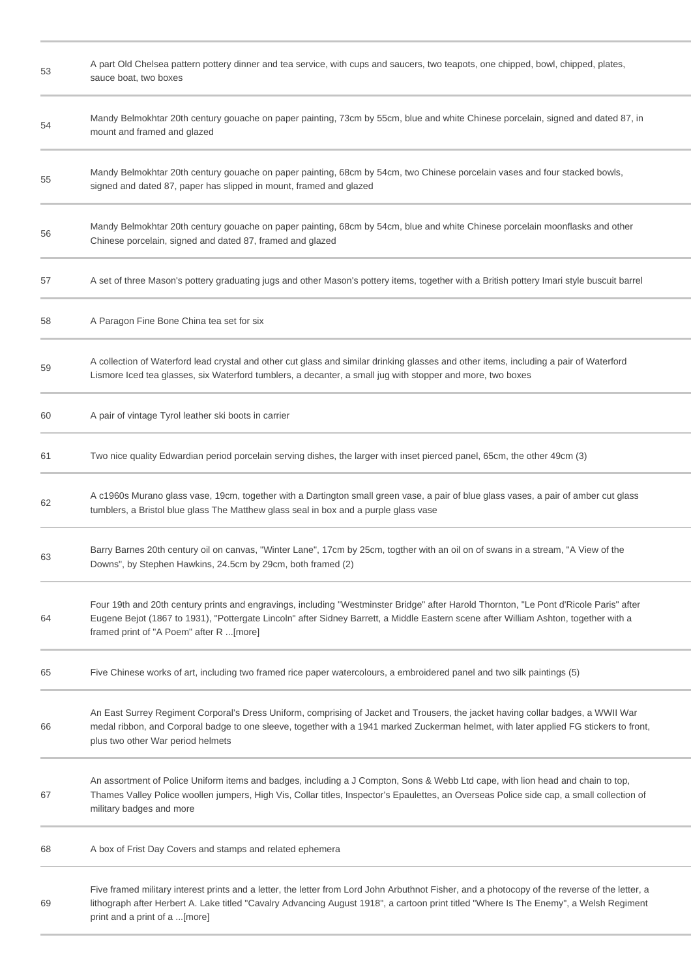| 53 | A part Old Chelsea pattern pottery dinner and tea service, with cups and saucers, two teapots, one chipped, bowl, chipped, plates,<br>sauce boat, two boxes                                                                                                                                                               |
|----|---------------------------------------------------------------------------------------------------------------------------------------------------------------------------------------------------------------------------------------------------------------------------------------------------------------------------|
| 54 | Mandy Belmokhtar 20th century gouache on paper painting, 73cm by 55cm, blue and white Chinese porcelain, signed and dated 87, in<br>mount and framed and glazed                                                                                                                                                           |
| 55 | Mandy Belmokhtar 20th century gouache on paper painting, 68cm by 54cm, two Chinese porcelain vases and four stacked bowls,<br>signed and dated 87, paper has slipped in mount, framed and glazed                                                                                                                          |
| 56 | Mandy Belmokhtar 20th century gouache on paper painting, 68cm by 54cm, blue and white Chinese porcelain moonflasks and other<br>Chinese porcelain, signed and dated 87, framed and glazed                                                                                                                                 |
| 57 | A set of three Mason's pottery graduating jugs and other Mason's pottery items, together with a British pottery Imari style buscuit barrel                                                                                                                                                                                |
| 58 | A Paragon Fine Bone China tea set for six                                                                                                                                                                                                                                                                                 |
| 59 | A collection of Waterford lead crystal and other cut glass and similar drinking glasses and other items, including a pair of Waterford<br>Lismore Iced tea glasses, six Waterford tumblers, a decanter, a small jug with stopper and more, two boxes                                                                      |
| 60 | A pair of vintage Tyrol leather ski boots in carrier                                                                                                                                                                                                                                                                      |
| 61 | Two nice quality Edwardian period porcelain serving dishes, the larger with inset pierced panel, 65cm, the other 49cm (3)                                                                                                                                                                                                 |
| 62 | A c1960s Murano glass vase, 19cm, together with a Dartington small green vase, a pair of blue glass vases, a pair of amber cut glass<br>tumblers, a Bristol blue glass The Matthew glass seal in box and a purple glass vase                                                                                              |
| 63 | Barry Barnes 20th century oil on canvas, "Winter Lane", 17cm by 25cm, togther with an oil on of swans in a stream, "A View of the<br>Downs", by Stephen Hawkins, 24.5cm by 29cm, both framed (2)                                                                                                                          |
| 64 | Four 19th and 20th century prints and engravings, including "Westminster Bridge" after Harold Thornton, "Le Pont d'Ricole Paris" after<br>Eugene Bejot (1867 to 1931), "Pottergate Lincoln" after Sidney Barrett, a Middle Eastern scene after William Ashton, together with a<br>framed print of "A Poem" after R [more] |
| 65 | Five Chinese works of art, including two framed rice paper watercolours, a embroidered panel and two silk paintings (5)                                                                                                                                                                                                   |
| 66 | An East Surrey Regiment Corporal's Dress Uniform, comprising of Jacket and Trousers, the jacket having collar badges, a WWII War<br>medal ribbon, and Corporal badge to one sleeve, together with a 1941 marked Zuckerman helmet, with later applied FG stickers to front,<br>plus two other War period helmets           |
| 67 | An assortment of Police Uniform items and badges, including a J Compton, Sons & Webb Ltd cape, with lion head and chain to top,<br>Thames Valley Police woollen jumpers, High Vis, Collar titles, Inspector's Epaulettes, an Overseas Police side cap, a small collection of<br>military badges and more                  |
| 68 | A box of Frist Day Covers and stamps and related ephemera                                                                                                                                                                                                                                                                 |
| 69 | Five framed military interest prints and a letter, the letter from Lord John Arbuthnot Fisher, and a photocopy of the reverse of the letter, a<br>lithograph after Herbert A. Lake titled "Cavalry Advancing August 1918", a cartoon print titled "Where Is The Enemy", a Welsh Regiment<br>print and a print of a [more] |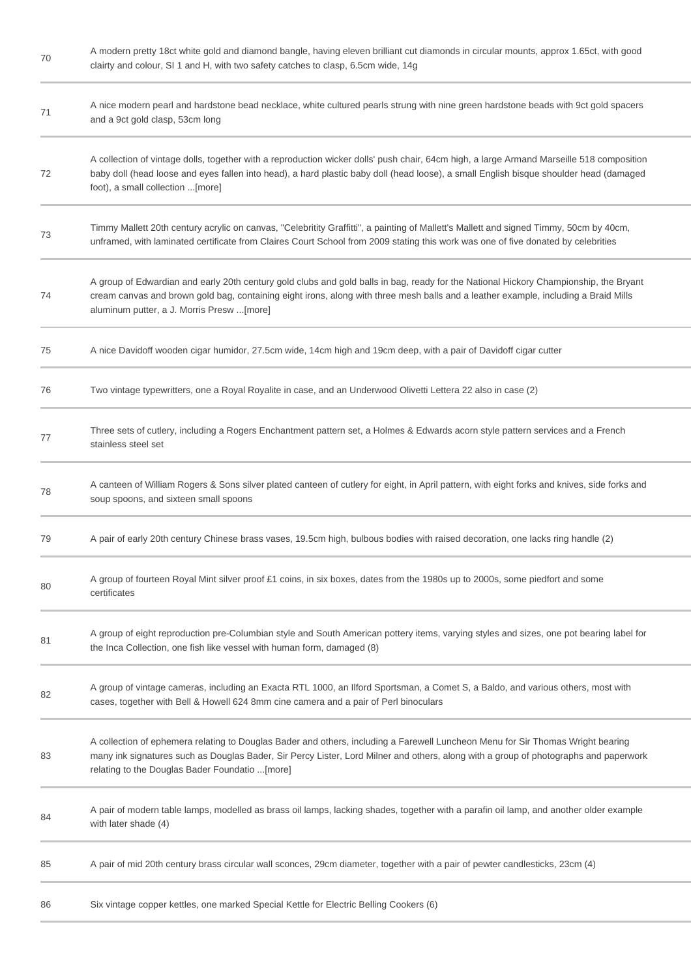| $70\,$ | A modern pretty 18ct white gold and diamond bangle, having eleven brilliant cut diamonds in circular mounts, approx 1.65ct, with good<br>clairty and colour, SI 1 and H, with two safety catches to clasp, 6.5cm wide, 14g                                                                                                |
|--------|---------------------------------------------------------------------------------------------------------------------------------------------------------------------------------------------------------------------------------------------------------------------------------------------------------------------------|
| 71     | A nice modern pearl and hardstone bead necklace, white cultured pearls strung with nine green hardstone beads with 9ct gold spacers<br>and a 9ct gold clasp, 53cm long                                                                                                                                                    |
| 72     | A collection of vintage dolls, together with a reproduction wicker dolls' push chair, 64cm high, a large Armand Marseille 518 composition<br>baby doll (head loose and eyes fallen into head), a hard plastic baby doll (head loose), a small English bisque shoulder head (damaged<br>foot), a small collection [more]   |
| 73     | Timmy Mallett 20th century acrylic on canvas, "Celebritity Graffitti", a painting of Mallett's Mallett and signed Timmy, 50cm by 40cm,<br>unframed, with laminated certificate from Claires Court School from 2009 stating this work was one of five donated by celebrities                                               |
| 74     | A group of Edwardian and early 20th century gold clubs and gold balls in bag, ready for the National Hickory Championship, the Bryant<br>cream canvas and brown gold bag, containing eight irons, along with three mesh balls and a leather example, including a Braid Mills<br>aluminum putter, a J. Morris Presw [more] |
| 75     | A nice Davidoff wooden cigar humidor, 27.5cm wide, 14cm high and 19cm deep, with a pair of Davidoff cigar cutter                                                                                                                                                                                                          |
| 76     | Two vintage typewritters, one a Royal Royalite in case, and an Underwood Olivetti Lettera 22 also in case (2)                                                                                                                                                                                                             |
| 77     | Three sets of cutlery, including a Rogers Enchantment pattern set, a Holmes & Edwards acorn style pattern services and a French<br>stainless steel set                                                                                                                                                                    |
| 78     | A canteen of William Rogers & Sons silver plated canteen of cutlery for eight, in April pattern, with eight forks and knives, side forks and<br>soup spoons, and sixteen small spoons                                                                                                                                     |
| 79     | A pair of early 20th century Chinese brass vases, 19.5cm high, bulbous bodies with raised decoration, one lacks ring handle (2)                                                                                                                                                                                           |
| 80     | A group of fourteen Royal Mint silver proof £1 coins, in six boxes, dates from the 1980s up to 2000s, some piedfort and some<br>certificates                                                                                                                                                                              |
| 81     | A group of eight reproduction pre-Columbian style and South American pottery items, varying styles and sizes, one pot bearing label for<br>the Inca Collection, one fish like vessel with human form, damaged (8)                                                                                                         |
| 82     | A group of vintage cameras, including an Exacta RTL 1000, an Ilford Sportsman, a Comet S, a Baldo, and various others, most with<br>cases, together with Bell & Howell 624 8mm cine camera and a pair of Perl binoculars                                                                                                  |
| 83     | A collection of ephemera relating to Douglas Bader and others, including a Farewell Luncheon Menu for Sir Thomas Wright bearing<br>many ink signatures such as Douglas Bader, Sir Percy Lister, Lord Milner and others, along with a group of photographs and paperwork<br>relating to the Douglas Bader Foundatio [more] |
| 84     | A pair of modern table lamps, modelled as brass oil lamps, lacking shades, together with a parafin oil lamp, and another older example<br>with later shade (4)                                                                                                                                                            |
| 85     | A pair of mid 20th century brass circular wall sconces, 29cm diameter, together with a pair of pewter candlesticks, 23cm (4)                                                                                                                                                                                              |
| 86     | Six vintage copper kettles, one marked Special Kettle for Electric Belling Cookers (6)                                                                                                                                                                                                                                    |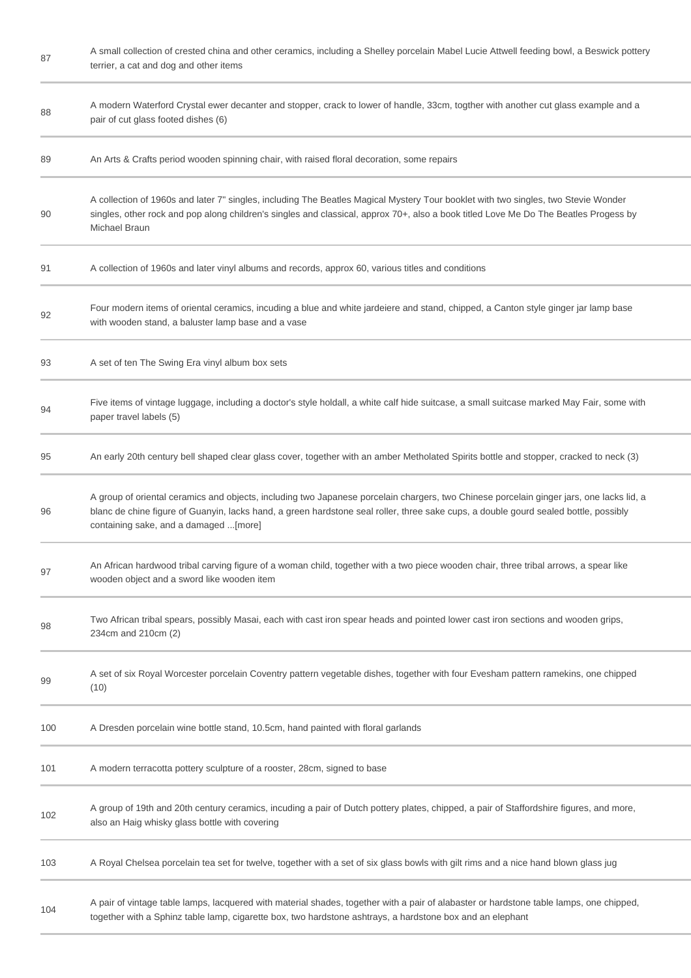| 87  | A small collection of crested china and other ceramics, including a Shelley porcelain Mabel Lucie Attwell feeding bowl, a Beswick pottery<br>terrier, a cat and dog and other items                                                                                                                                       |
|-----|---------------------------------------------------------------------------------------------------------------------------------------------------------------------------------------------------------------------------------------------------------------------------------------------------------------------------|
| 88  | A modern Waterford Crystal ewer decanter and stopper, crack to lower of handle, 33cm, togther with another cut glass example and a<br>pair of cut glass footed dishes (6)                                                                                                                                                 |
| 89  | An Arts & Crafts period wooden spinning chair, with raised floral decoration, some repairs                                                                                                                                                                                                                                |
| 90  | A collection of 1960s and later 7" singles, including The Beatles Magical Mystery Tour booklet with two singles, two Stevie Wonder<br>singles, other rock and pop along children's singles and classical, approx 70+, also a book titled Love Me Do The Beatles Progess by<br>Michael Braun                               |
| 91  | A collection of 1960s and later vinyl albums and records, approx 60, various titles and conditions                                                                                                                                                                                                                        |
| 92  | Four modern items of oriental ceramics, incuding a blue and white jardeiere and stand, chipped, a Canton style ginger jar lamp base<br>with wooden stand, a baluster lamp base and a vase                                                                                                                                 |
| 93  | A set of ten The Swing Era vinyl album box sets                                                                                                                                                                                                                                                                           |
| 94  | Five items of vintage luggage, including a doctor's style holdall, a white calf hide suitcase, a small suitcase marked May Fair, some with<br>paper travel labels (5)                                                                                                                                                     |
| 95  | An early 20th century bell shaped clear glass cover, together with an amber Metholated Spirits bottle and stopper, cracked to neck (3)                                                                                                                                                                                    |
| 96  | A group of oriental ceramics and objects, including two Japanese porcelain chargers, two Chinese porcelain ginger jars, one lacks lid, a<br>blanc de chine figure of Guanyin, lacks hand, a green hardstone seal roller, three sake cups, a double gourd sealed bottle, possibly<br>containing sake, and a damaged [more] |
| 97  | An African hardwood tribal carving figure of a woman child, together with a two piece wooden chair, three tribal arrows, a spear like<br>wooden object and a sword like wooden item                                                                                                                                       |
| 98  | Two African tribal spears, possibly Masai, each with cast iron spear heads and pointed lower cast iron sections and wooden grips,<br>234cm and 210cm (2)                                                                                                                                                                  |
| 99  | A set of six Royal Worcester porcelain Coventry pattern vegetable dishes, together with four Evesham pattern ramekins, one chipped<br>(10)                                                                                                                                                                                |
| 100 | A Dresden porcelain wine bottle stand, 10.5cm, hand painted with floral garlands                                                                                                                                                                                                                                          |
| 101 | A modern terracotta pottery sculpture of a rooster, 28cm, signed to base                                                                                                                                                                                                                                                  |
| 102 | A group of 19th and 20th century ceramics, incuding a pair of Dutch pottery plates, chipped, a pair of Staffordshire figures, and more,<br>also an Haig whisky glass bottle with covering                                                                                                                                 |
| 103 | A Royal Chelsea porcelain tea set for twelve, together with a set of six glass bowls with gilt rims and a nice hand blown glass jug                                                                                                                                                                                       |
| 104 | A pair of vintage table lamps, lacquered with material shades, together with a pair of alabaster or hardstone table lamps, one chipped,<br>together with a Sphinz table lamp, cigarette box, two hardstone ashtrays, a hardstone box and an elephant                                                                      |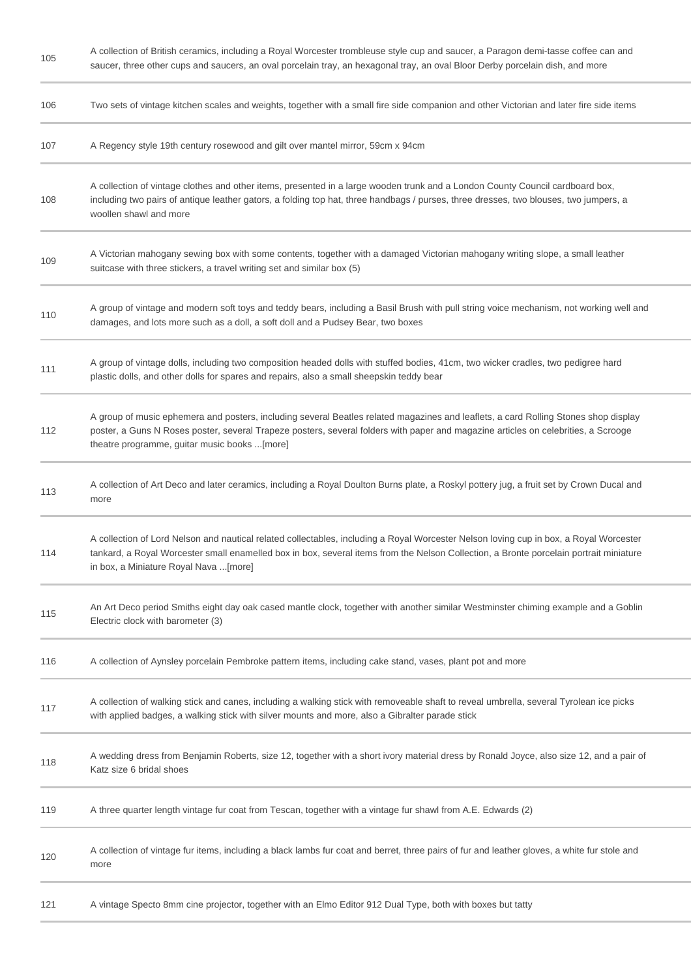105

A collection of British ceramics, including a Royal Worcester trombleuse style cup and saucer, a Paragon demi-tasse coffee can and saucer, three other cups and saucers, an oval porcelain tray, an hexagonal tray, an oval Bloor Derby porcelain dish, and more

| 106 | Two sets of vintage kitchen scales and weights, together with a small fire side companion and other Victorian and later fire side items                                                                                                                                                                                   |
|-----|---------------------------------------------------------------------------------------------------------------------------------------------------------------------------------------------------------------------------------------------------------------------------------------------------------------------------|
| 107 | A Regency style 19th century rosewood and gilt over mantel mirror, 59cm x 94cm                                                                                                                                                                                                                                            |
| 108 | A collection of vintage clothes and other items, presented in a large wooden trunk and a London County Council cardboard box,<br>including two pairs of antique leather gators, a folding top hat, three handbags / purses, three dresses, two blouses, two jumpers, a<br>woollen shawl and more                          |
| 109 | A Victorian mahogany sewing box with some contents, together with a damaged Victorian mahogany writing slope, a small leather<br>suitcase with three stickers, a travel writing set and similar box (5)                                                                                                                   |
| 110 | A group of vintage and modern soft toys and teddy bears, including a Basil Brush with pull string voice mechanism, not working well and<br>damages, and lots more such as a doll, a soft doll and a Pudsey Bear, two boxes                                                                                                |
| 111 | A group of vintage dolls, including two composition headed dolls with stuffed bodies, 41cm, two wicker cradles, two pedigree hard<br>plastic dolls, and other dolls for spares and repairs, also a small sheepskin teddy bear                                                                                             |
| 112 | A group of music ephemera and posters, including several Beatles related magazines and leaflets, a card Rolling Stones shop display<br>poster, a Guns N Roses poster, several Trapeze posters, several folders with paper and magazine articles on celebrities, a Scrooge<br>theatre programme, guitar music books [more] |
| 113 | A collection of Art Deco and later ceramics, including a Royal Doulton Burns plate, a Roskyl pottery jug, a fruit set by Crown Ducal and<br>more                                                                                                                                                                          |
| 114 | A collection of Lord Nelson and nautical related collectables, including a Royal Worcester Nelson loving cup in box, a Royal Worcester<br>tankard, a Royal Worcester small enamelled box in box, several items from the Nelson Collection, a Bronte porcelain portrait miniature<br>in box, a Miniature Royal Nava [more] |
| 115 | An Art Deco period Smiths eight day oak cased mantle clock, together with another similar Westminster chiming example and a Goblin<br>Electric clock with barometer (3)                                                                                                                                                   |
| 116 | A collection of Aynsley porcelain Pembroke pattern items, including cake stand, vases, plant pot and more                                                                                                                                                                                                                 |
| 117 | A collection of walking stick and canes, including a walking stick with removeable shaft to reveal umbrella, several Tyrolean ice picks<br>with applied badges, a walking stick with silver mounts and more, also a Gibralter parade stick                                                                                |
| 118 | A wedding dress from Benjamin Roberts, size 12, together with a short ivory material dress by Ronald Joyce, also size 12, and a pair of<br>Katz size 6 bridal shoes                                                                                                                                                       |
| 119 | A three quarter length vintage fur coat from Tescan, together with a vintage fur shawl from A.E. Edwards (2)                                                                                                                                                                                                              |
| 120 | A collection of vintage fur items, including a black lambs fur coat and berret, three pairs of fur and leather gloves, a white fur stole and<br>more                                                                                                                                                                      |
| 121 | A vintage Specto 8mm cine projector, together with an Elmo Editor 912 Dual Type, both with boxes but tatty                                                                                                                                                                                                                |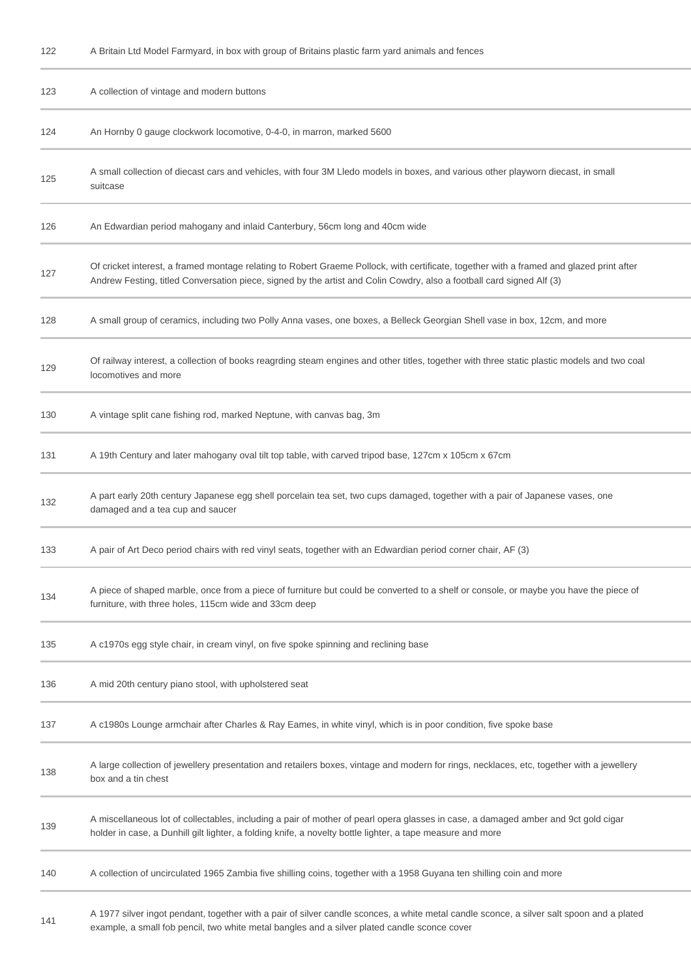| 122 |  | A Britain Ltd Model Farmyard, in box with group of Britains plastic farm yard animals and fences |  |
|-----|--|--------------------------------------------------------------------------------------------------|--|
|-----|--|--------------------------------------------------------------------------------------------------|--|

| 123 | A collection of vintage and modern buttons                                                                                                                                                                                                                        |
|-----|-------------------------------------------------------------------------------------------------------------------------------------------------------------------------------------------------------------------------------------------------------------------|
| 124 | An Hornby 0 gauge clockwork locomotive, 0-4-0, in marron, marked 5600                                                                                                                                                                                             |
| 125 | A small collection of diecast cars and vehicles, with four 3M Lledo models in boxes, and various other playworn diecast, in small<br>suitcase                                                                                                                     |
| 126 | An Edwardian period mahogany and inlaid Canterbury, 56cm long and 40cm wide                                                                                                                                                                                       |
| 127 | Of cricket interest, a framed montage relating to Robert Graeme Pollock, with certificate, together with a framed and glazed print after<br>Andrew Festing, titled Conversation piece, signed by the artist and Colin Cowdry, also a football card signed Alf (3) |
| 128 | A small group of ceramics, including two Polly Anna vases, one boxes, a Belleck Georgian Shell vase in box, 12cm, and more                                                                                                                                        |
| 129 | Of railway interest, a collection of books reagrding steam engines and other titles, together with three static plastic models and two coal<br>locomotives and more                                                                                               |
| 130 | A vintage split cane fishing rod, marked Neptune, with canvas bag, 3m                                                                                                                                                                                             |
| 131 | A 19th Century and later mahogany oval tilt top table, with carved tripod base, 127cm x 105cm x 67cm                                                                                                                                                              |
| 132 | A part early 20th century Japanese egg shell porcelain tea set, two cups damaged, together with a pair of Japanese vases, one<br>damaged and a tea cup and saucer                                                                                                 |
| 133 | A pair of Art Deco period chairs with red vinyl seats, together with an Edwardian period corner chair, AF (3)                                                                                                                                                     |
| 134 | A piece of shaped marble, once from a piece of furniture but could be converted to a shelf or console, or maybe you have the piece of<br>furniture, with three holes, 115cm wide and 33cm deep                                                                    |
| 135 | A c1970s egg style chair, in cream vinyl, on five spoke spinning and reclining base                                                                                                                                                                               |
| 136 | A mid 20th century piano stool, with upholstered seat                                                                                                                                                                                                             |
| 137 | A c1980s Lounge armchair after Charles & Ray Eames, in white vinyl, which is in poor condition, five spoke base                                                                                                                                                   |
| 138 | A large collection of jewellery presentation and retailers boxes, vintage and modern for rings, necklaces, etc, together with a jewellery<br>box and a tin chest                                                                                                  |
| 139 | A miscellaneous lot of collectables, including a pair of mother of pearl opera glasses in case, a damaged amber and 9ct gold cigar<br>holder in case, a Dunhill gilt lighter, a folding knife, a novelty bottle lighter, a tape measure and more                  |
| 140 | A collection of uncirculated 1965 Zambia five shilling coins, together with a 1958 Guyana ten shilling coin and more                                                                                                                                              |
| 141 | A 1977 silver ingot pendant, together with a pair of silver candle sconces, a white metal candle sconce, a silver salt spoon and a plated<br>example, a small fob pencil, two white metal bangles and a silver plated candle sconce cover                         |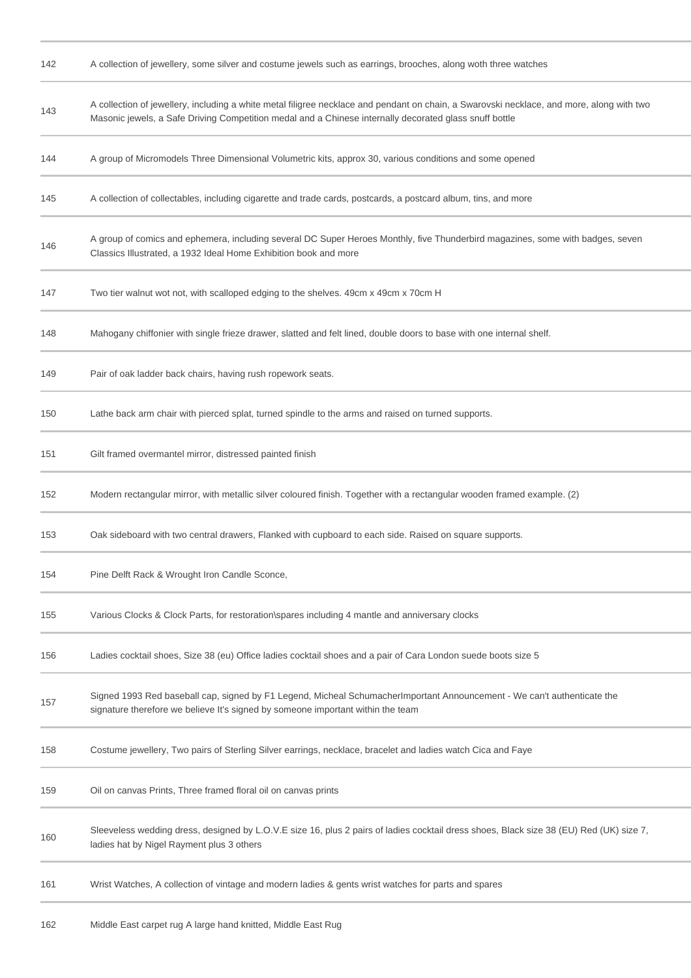| 142 | A collection of jewellery, some silver and costume jewels such as earrings, brooches, along woth three watches                                                                                                                                      |
|-----|-----------------------------------------------------------------------------------------------------------------------------------------------------------------------------------------------------------------------------------------------------|
| 143 | A collection of jewellery, including a white metal filigree necklace and pendant on chain, a Swarovski necklace, and more, along with two<br>Masonic jewels, a Safe Driving Competition medal and a Chinese internally decorated glass snuff bottle |
| 144 | A group of Micromodels Three Dimensional Volumetric kits, approx 30, various conditions and some opened                                                                                                                                             |
| 145 | A collection of collectables, including cigarette and trade cards, postcards, a postcard album, tins, and more                                                                                                                                      |
| 146 | A group of comics and ephemera, including several DC Super Heroes Monthly, five Thunderbird magazines, some with badges, seven<br>Classics Illustrated, a 1932 Ideal Home Exhibition book and more                                                  |
| 147 | Two tier walnut wot not, with scalloped edging to the shelves. 49cm x 49cm x 70cm H                                                                                                                                                                 |
| 148 | Mahogany chiffonier with single frieze drawer, slatted and felt lined, double doors to base with one internal shelf.                                                                                                                                |
| 149 | Pair of oak ladder back chairs, having rush ropework seats.                                                                                                                                                                                         |
| 150 | Lathe back arm chair with pierced splat, turned spindle to the arms and raised on turned supports.                                                                                                                                                  |
| 151 | Gilt framed overmantel mirror, distressed painted finish                                                                                                                                                                                            |
| 152 | Modern rectangular mirror, with metallic silver coloured finish. Together with a rectangular wooden framed example. (2)                                                                                                                             |
| 153 | Oak sideboard with two central drawers, Flanked with cupboard to each side. Raised on square supports.                                                                                                                                              |
| 154 | Pine Delft Rack & Wrought Iron Candle Sconce                                                                                                                                                                                                        |
| 155 | Various Clocks & Clock Parts, for restoration\spares including 4 mantle and anniversary clocks                                                                                                                                                      |
| 156 | Ladies cocktail shoes, Size 38 (eu) Office ladies cocktail shoes and a pair of Cara London suede boots size 5                                                                                                                                       |
| 157 | Signed 1993 Red baseball cap, signed by F1 Legend, Micheal Schumacherlmportant Announcement - We can't authenticate the<br>signature therefore we believe It's signed by someone important within the team                                          |
| 158 | Costume jewellery, Two pairs of Sterling Silver earrings, necklace, bracelet and ladies watch Cica and Faye                                                                                                                                         |
| 159 | Oil on canvas Prints, Three framed floral oil on canvas prints                                                                                                                                                                                      |
| 160 | Sleeveless wedding dress, designed by L.O.V.E size 16, plus 2 pairs of ladies cocktail dress shoes, Black size 38 (EU) Red (UK) size 7,<br>ladies hat by Nigel Rayment plus 3 others                                                                |
| 161 | Wrist Watches, A collection of vintage and modern ladies & gents wrist watches for parts and spares                                                                                                                                                 |
|     |                                                                                                                                                                                                                                                     |